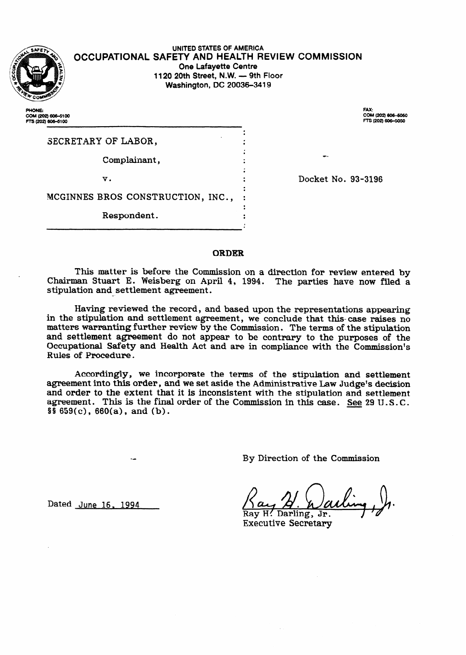

.

**OCCUPATIONAL SAFETY AND HEALTH REVIEW COMMISSION UNITED STATES OF AMERICA One Lafayette Centre 1120 20th Street, N.W. - 9th Floor Washington, DC 20036-3419** 

> . .

**PHONE:** COM (202) 606-5100 FTS (202) 606-5100

COM (202) 606-5050<br>FTS (202) 606-5050

| SECRETARY OF LABOR,               |  |
|-----------------------------------|--|
| Complainant,                      |  |
| v.                                |  |
| MCGINNES BROS CONSTRUCTION, INC., |  |
| Respondent.                       |  |

Docket No. 93-3196

-.

#### **ORDER**

This matter is before the Commission on a direction for review entered **by**  Chairman Stuart E. Weisberg on April 4, 1994. The parties have now filed a  $\mathop{\rm stipulation}\nolimits$  and  $\mathop{\rm setelement}\nolimits$  agreement.

Having reviewed the record, and based upon the representations appearing in the stipulation and settlement agreement, we conclude that this- case raises no matters warranting further review by the Commission. The terms of the stipulation and settlement agreement do not appear to be contrary to the purposes of the Occupational Safety and Health Act and are in compliance with the Commission's Rules of Procedure.

Accordingly, we incorporate the terms of the stipulation and settlement agreement into this order, and we set aside the Administrative Law Judge's decision and order to the extent that it is inconsistent with the stipulation and settlement agreement. This is the final order of the Commission in this case. See 29 U.S. C.  $$5\,659(c), 660(a), and (b).$ 

By Direction of the Commission

**Dated June 16. 1994** 

Ray H! Darling, Jr.

Executive Secretary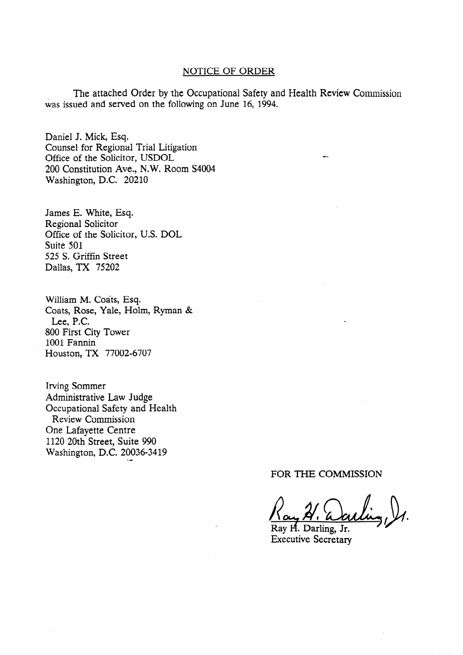## NOTICE OF ORDER

The attached Order by the Occupational Safety and Health Review Commission was issued and served on the following on June **16,** 1994.

**.** 

Daniel J. Mick, Esq. Counsel for Regional Trial Litigation Office of the Solicitor, USDOL 200 Constitution Ave., N.W. Room S4004 Washington, D.C. 20210

James E. White, Esq. Regional Solicitor Office of the Solicitor, U.S. DOL Suite 501 525 S. Griffin Street Dallas, TX 75202

William M. Coats, Esq. Coats, Rose, Yale, Holm, Ryman & Lee, P.C. 800 First City Tower 1001 Fannin Houston, TX 77002-6707

Irving Sommer Administrative Law Judge Occupational Safety and Health Review Commission One Lafayette Centre 1120 20th Street, Suite 990 Washington, D.C. 20036-3419

FOR THE COMMISSION

Ray H. Darling, Jr. Executive Secretary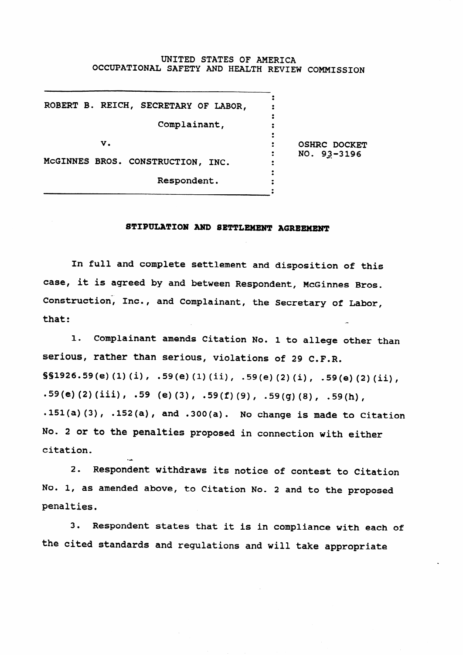## UNITED STATES OF AMERICA OCCUPATIONAL SAFETY AND HEALTH REVIEW COMMISSION

| ROBERT B. REICH, SECRETARY OF LABOR,             |                                 |
|--------------------------------------------------|---------------------------------|
| Complainant,                                     |                                 |
| v.                                               | OSHRC DOCKET<br>$NO. 93 - 3196$ |
| MCGINNES BROS. CONSTRUCTION, INC.<br>Respondent. |                                 |

#### STIPULATION **AND SETTLEMENT** AGREEMENT

In full and complete settlement and disposition of this case, it is agreed by and between Respondent, McGinnes Bros. Construction, Inc., and Complainant, the Secretary of Labor, that: .-

1. Complainant amends Citation No. 1 to allege other than serious, rather than serious, violations of 29 C.F.R. §§1926.59(e)(l)(i), .59(e)(l)(ii), .59(e)(2)(i), .59(e)(2)(ii), .59(e)(2)(iii), .59 (e)(3), .59(f)(9), .59(g)(8), .59(h), .151(a)(3), .152(a), and **.300(a).** No change is made to Citation No. 2 or to the penalties proposed in connection with either citation,

2. Respondent withdraws its notice of contest to Citation No. 1, as amended above, to Citation No. 2 and to the proposed penalties.

3. Respondent states that it is in compliance with each of the cited standards and regulations and will take appropriate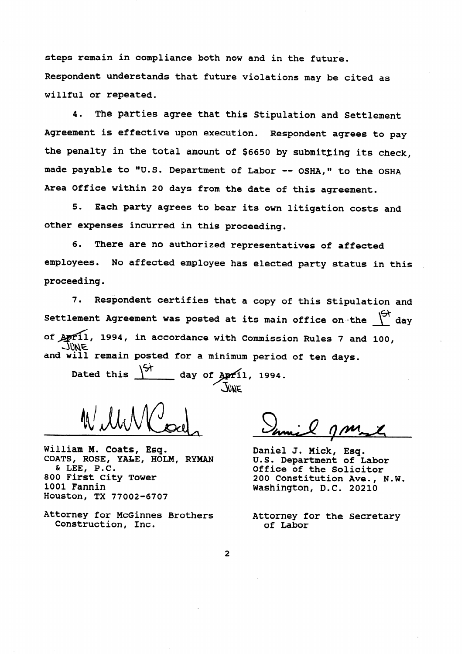steps remain in compliance both now and in the future. Respondent understands that future violations may be cited as willful **or repeated.** 

4. The parties agree that this Stipulation and Settlement Agreement is effective upon execution. Respondent agrees to pay the **penalty** in the **total** amount of \$6650 by submitzing its check, made payable to "U.S. Department of Labor -- OSHA," to the OSHA **Area** Office within 20 days from the date of this agreement.

5. Each party agrees to bear its own litigation costs and other expenses incurred in this proceeding.

6. There are no authorized representatives of affected employees. No affected employee has elected party status in this proceeding.

7. Respondent certifies that a copy of this Stipulation and Settlement Agreement was posted at its main office on the  $\int\!\!\frac{\partial f}{\partial x}~{\rm d}x$ of 11, 1994, **in accordance with** Commission Rules 7 and 100, JUNE and will remain posted for a minimum period of ten days.

Dated this  $\frac{1}{3}$  day of  $\frac{1}{2}$  day 1994.

William M. **Coats, Esq.**  COATS, ROSE, YA&E, HOLM, RYMAN 6t LEE, **P.C.**  800 First City Tower 1001 Fannin Houston, TX 77002-6707

Attorney for McGinnes Brothers Construction, Inc.

Daniel J. Mick, Esq. U.S. Department of Labor Office of the Solicitor 200 Constitution Ave., N.W. Washington, D.C. 20210

Attorney for the Secretary of Labor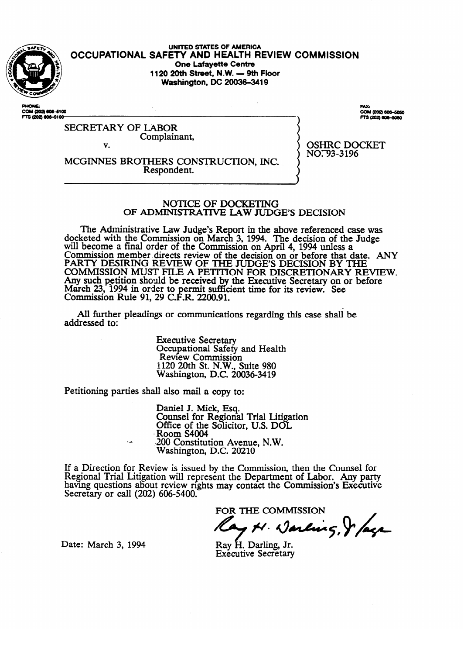

**UNITED STATES OF AMERICA OCCUPATIONAL SAFETY AND HEALTH REVIEW COMMISSION**  1120 20th Street, N.W. - 9th Floor **1120 20th Street, N.W. - 9th Floor Washington, DC 2003643419** 

M (202) 606-5100 COM (202) 60<br>FTS (202) 601

COM (202) 606-5050 TS (202) 606-5050

OSHITC DOCKET  $\cdots$ ,  $\cdots$ 

SECRETARY OF LABOR Complainant,

v.

MCGINNES BROTHERS CONSTRUCI'ION, INC. Respondent. .

# NOTICE OF DOCKETING OF ADMINISTRATIVE LAW JUDGE'S DECISION

The Administrative Law Judge's Report in the above referenced case was docketed with the Commission on March 3, 1994. The decision of the Judge will become a final order of the Commission on April 4, 1994 unless a Commission member directs review of the decision on or before that d<br>BARTY DESIRING BEVIEW OF THE HIDGES DECISION BY TH PARTY DESIRING REVIEW OF THE JUDGE'S DECISION BY THE<br>COMMISSION MUST FILE A BEFORE ON ESD DISCRETIONARY BELIEV. COMMISSION MUST FILE A PETITION FOR DISCRETIONARY RE Any such petition should be received by the Executive Secretary on or before<br>March 22, 1004 in order to normit outficient time for its acriery. See March 25, 1994 in order to permit sufficient contains containing  $\Omega_0$  and  $\Omega_1$  and  $\Omega_2$  and  $\Omega_3$ Commission Ruie 91, 29 C.F.R.  $2200$ . the Executive Secretary Secretary Secretary Secretary of the Secretary Secretary Secretary Secretary Secretary Secretary Secretary Secretary Secretary Secretary Secretary Secretary Secretary Secretary Secretary Secretary S cient time for its review. See the form of the see that  $\alpha$ 

All further pleadings or communications regarding this case shall be  $A$  further pleading or communications regarding the communications regarding the case shall be shall be shall be shall be shall be shall be shall be shall be shall be shall be shall be shall be shall be shall be shall be

> **Executive Secretary** Occupational Safety and Health<br>Review Commission  $1120$  20th St. N.W. Suite 980  $\frac{200}{100}$  Evin St. 11.11.200 1120 20th St. N.W., Suite 980

Petitioning parties shall also mail a copy to:

Daniel J. Mick, Esq.<br>Counsel for Regional Trial Litigation Office of the Solicitor, U.S. DOL Room S4004 200 Constitution Avenue, N.W. Washington, D.C. 20210

 $\cdot$  .  $\cdot$  .  $\cdot$  .  $\cdot$  .  $\cdot$ ew is issued by the Com having questions about review rights may contact the Commission's Executive Secretary or call (202) 606-5400.

FOR THE COMMISSION

ay N. Darling, & lage

Ray H. Darling, Jr. **Exécutive Secrétary** 

Date: March 3, 1994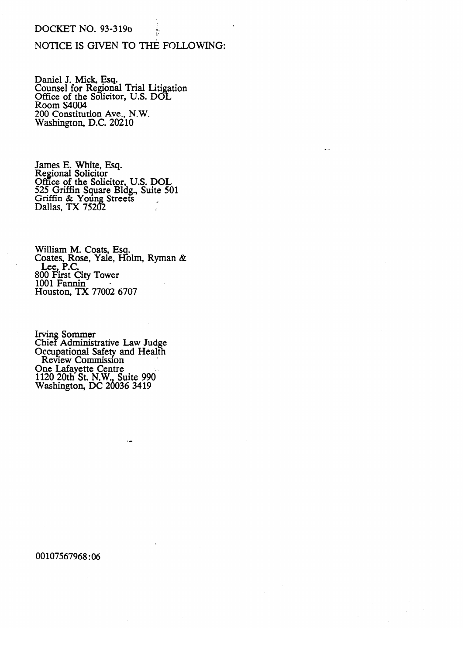#### DOCKET NO. 93-3196

# NOTICE IS GIVEN TO THE FOLLOWING:

.

. .

#

Daniel J. Mick, Esq.<br>Counsel for Regiona Counsel for **Regional Trial Litigation**<br>Office of the Solicitor, U.S. DOL Office of the Solicitor, O.S. DOL.<br>Room S4004 Room 94004<br>200 Constituti  $\frac{200}{8}$  Constitution  $\frac{1}{2}$  N.C. 20210  $W$  as  $\mathbf{L}$  and  $\mathbf{L}$   $\mathbf{L}$   $\mathbf{L}$   $\mathbf{L}$   $\mathbf{L}$   $\mathbf{L}$   $\mathbf{L}$   $\mathbf{L}$   $\mathbf{L}$   $\mathbf{L}$   $\mathbf{L}$   $\mathbf{L}$   $\mathbf{L}$   $\mathbf{L}$   $\mathbf{L}$   $\mathbf{L}$   $\mathbf{L}$   $\mathbf{L}$   $\mathbf{L}$   $\mathbf{L}$   $\mathbf{L}$   $\mathbf{L}$   $\math$ 

Regional Solicitor Office of the Solic 525 Griffin Square Bldg., Suite 50  $G$ riffin  $\&$  Young Streets Dallas, TX 75202

Coates, Rose, Yale, Hol LEE, P.C.<br>800 First City Tower JU FIISLU.<br>M1 Fanni:  $1001$  Fall  $1001$  Figure  $T_X$   $77002$   $6$  $100$ uston,  $12$ 

**CHIPATE:**<br>Occupational S **Companional Street Administrative Law Administrative Law Judge** One Lafayette Centre<br>1120 20th St. N.W., Suite 990 Washington, DC 20036 3419  $1120$ 

00107567968:06